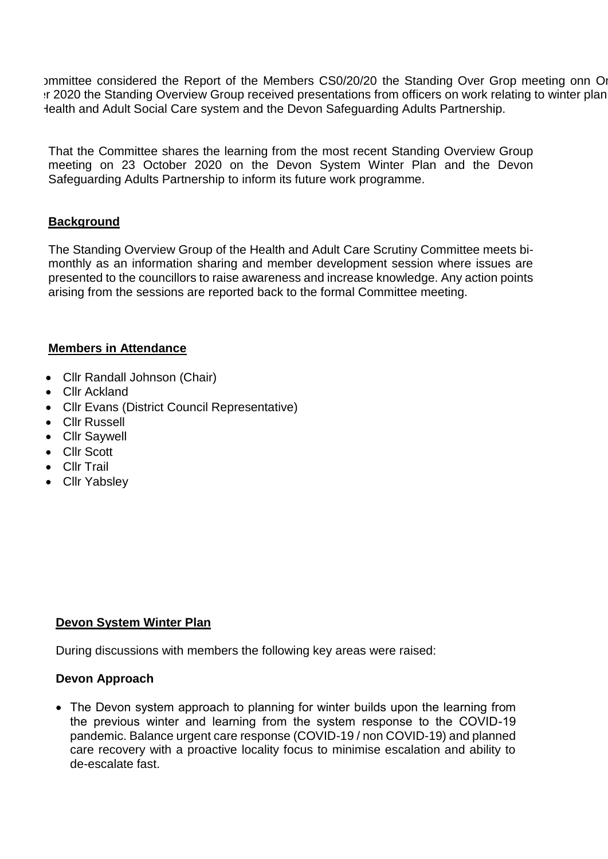Immittee considered the Report of the Members CS0/20/20 the Standing Over Grop meeting onn On If 2020 the Standing Overview Group received presentations from officers on work relating to winter plan lealth and Adult Social Care system and the Devon Safeguarding Adults Partnership.

That the Committee shares the learning from the most recent Standing Overview Group meeting on 23 October 2020 on the Devon System Winter Plan and the Devon Safeguarding Adults Partnership to inform its future work programme.

#### **Background**

The Standing Overview Group of the Health and Adult Care Scrutiny Committee meets bimonthly as an information sharing and member development session where issues are presented to the councillors to raise awareness and increase knowledge. Any action points arising from the sessions are reported back to the formal Committee meeting.

#### **Members in Attendance**

- Cllr Randall Johnson (Chair)
- Cllr Ackland
- Cllr Evans (District Council Representative)
- Cllr Russell
- Cllr Saywell
- Cllr Scott
- Cllr Trail
- Cllr Yabsley

#### **Devon System Winter Plan**

During discussions with members the following key areas were raised:

#### **Devon Approach**

 The Devon system approach to planning for winter builds upon the learning from the previous winter and learning from the system response to the COVID-19 pandemic. Balance urgent care response (COVID-19 / non COVID-19) and planned care recovery with a proactive locality focus to minimise escalation and ability to de-escalate fast.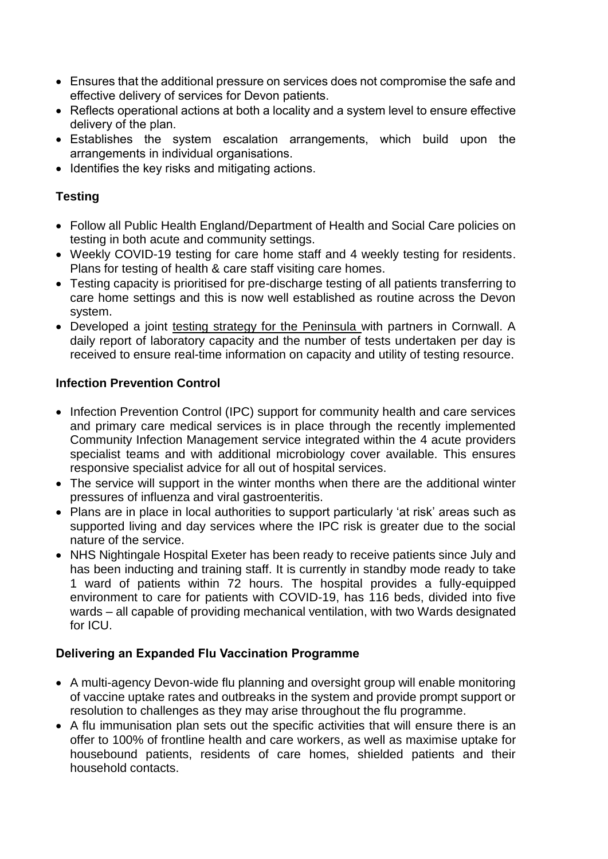- Ensures that the additional pressure on services does not compromise the safe and effective delivery of services for Devon patients.
- Reflects operational actions at both a locality and a system level to ensure effective delivery of the plan.
- Establishes the system escalation arrangements, which build upon the arrangements in individual organisations.
- $\bullet$  Identifies the key risks and mitigating actions.

# **Testing**

- Follow all Public Health England/Department of Health and Social Care policies on testing in both acute and community settings.
- Weekly COVID-19 testing for care home staff and 4 weekly testing for residents. Plans for testing of health & care staff visiting care homes.
- Testing capacity is prioritised for pre-discharge testing of all patients transferring to care home settings and this is now well established as routine across the Devon system.
- Developed a joint [testing strategy for the Peninsula w](https://newdevonccg.sharepoint.com/sites/WinterPlan/Shared%20Documents/General/system%20files/Testing%20Strategy%20for%20the%20Peninsula%20-%20July%202020%20v4%20FINAL.pdf)ith partners in Cornwall. A daily report of laboratory capacity and the number of tests undertaken per day is received to ensure real-time information on capacity and utility of testing resource.

# **Infection Prevention Control**

- Infection Prevention Control (IPC) support for community health and care services and primary care medical services is in place through the recently implemented Community Infection Management service integrated within the 4 acute providers specialist teams and with additional microbiology cover available. This ensures responsive specialist advice for all out of hospital services.
- The service will support in the winter months when there are the additional winter pressures of influenza and viral gastroenteritis.
- Plans are in place in local authorities to support particularly 'at risk' areas such as supported living and day services where the IPC risk is greater due to the social nature of the service.
- NHS Nightingale Hospital Exeter has been ready to receive patients since July and has been inducting and training staff. It is currently in standby mode ready to take 1 ward of patients within 72 hours. The hospital provides a fully-equipped environment to care for patients with COVID-19, has 116 beds, divided into five wards – all capable of providing mechanical ventilation, with two Wards designated for ICU.

### **Delivering an Expanded Flu Vaccination Programme**

- A multi-agency Devon-wide flu planning and oversight group will enable monitoring of vaccine uptake rates and outbreaks in the system and provide prompt support or resolution to challenges as they may arise throughout the flu programme.
- A flu immunisation plan sets out the specific activities that will ensure there is an offer to 100% of frontline health and care workers, as well as maximise uptake for housebound patients, residents of care homes, shielded patients and their household contacts.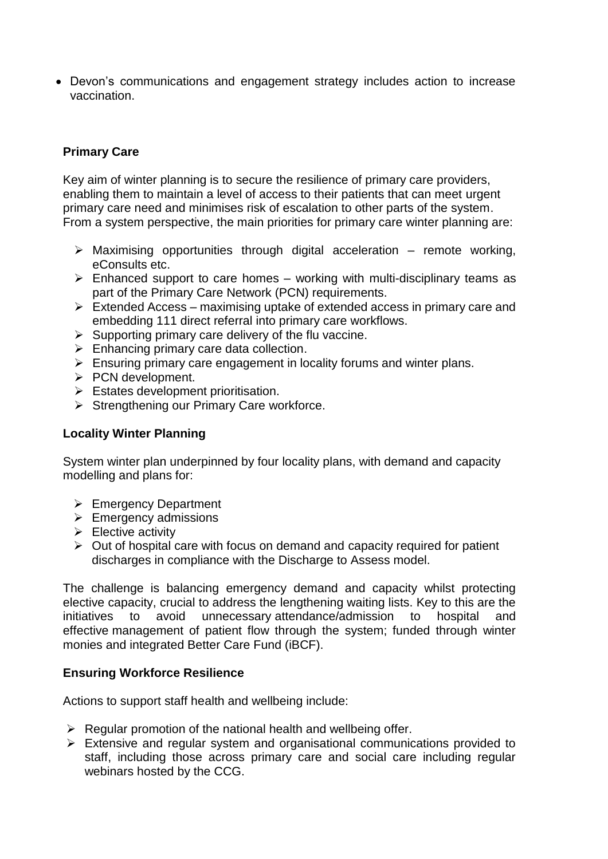Devon's communications and engagement strategy includes action to increase vaccination.

# **Primary Care**

Key aim of winter planning is to secure the resilience of primary care providers, enabling them to maintain a level of access to their patients that can meet urgent primary care need and minimises risk of escalation to other parts of the system. From a system perspective, the main priorities for primary care winter planning are:

- $\triangleright$  Maximising opportunities through digital acceleration remote working, eConsults etc.
- $\triangleright$  Enhanced support to care homes working with multi-disciplinary teams as part of the Primary Care Network (PCN) requirements.
- $\triangleright$  Extended Access maximising uptake of extended access in primary care and embedding 111 direct referral into primary care workflows.
- $\triangleright$  Supporting primary care delivery of the flu vaccine.
- $\triangleright$  Enhancing primary care data collection.
- $\triangleright$  Ensuring primary care engagement in locality forums and winter plans.
- $\triangleright$  PCN development.
- $\triangleright$  Estates development prioritisation.
- $\triangleright$  Strengthening our Primary Care workforce.

#### **Locality Winter Planning**

System winter plan underpinned by four locality plans, with demand and capacity modelling and plans for:

- $\triangleright$  Emergency Department
- $\triangleright$  Emergency admissions
- $\triangleright$  Elective activity
- $\triangleright$  Out of hospital care with focus on demand and capacity required for patient discharges in compliance with the Discharge to Assess model.

The challenge is balancing emergency demand and capacity whilst protecting elective capacity, crucial to address the lengthening waiting lists. Key to this are the initiatives to avoid unnecessary attendance/admission to hospital and effective management of patient flow through the system; funded through winter monies and integrated Better Care Fund (iBCF).

#### **Ensuring Workforce Resilience**

Actions to support staff health and wellbeing include:

- $\triangleright$  Regular promotion of the national health and wellbeing offer.
- $\triangleright$  Extensive and regular system and organisational communications provided to staff, including those across primary care and social care including regular webinars hosted by the CCG.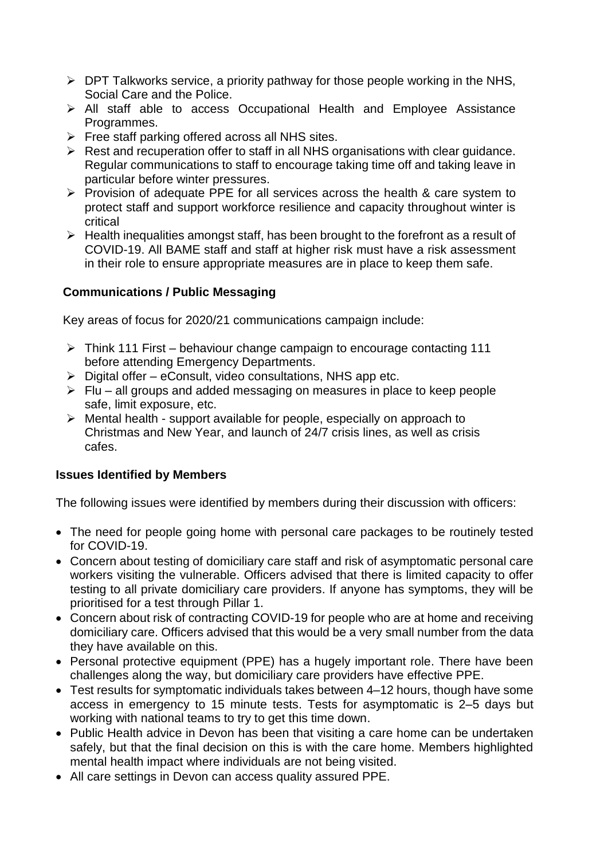- $\triangleright$  DPT Talkworks service, a priority pathway for those people working in the NHS, Social Care and the Police.
- All staff able to access Occupational Health and Employee Assistance Programmes.
- $\triangleright$  Free staff parking offered across all NHS sites.
- $\triangleright$  Rest and recuperation offer to staff in all NHS organisations with clear quidance. Regular communications to staff to encourage taking time off and taking leave in particular before winter pressures.
- $\triangleright$  Provision of adequate PPE for all services across the health & care system to protect staff and support workforce resilience and capacity throughout winter is critical
- $\triangleright$  Health inequalities amongst staff, has been brought to the forefront as a result of COVID-19. All BAME staff and staff at higher risk must have a risk assessment in their role to ensure appropriate measures are in place to keep them safe.

### **Communications / Public Messaging**

Key areas of focus for 2020/21 communications campaign include:

- $\triangleright$  Think 111 First behaviour change campaign to encourage contacting 111 before attending Emergency Departments.
- $\triangleright$  Digital offer eConsult, video consultations, NHS app etc.
- $\triangleright$  Flu all groups and added messaging on measures in place to keep people safe, limit exposure, etc.
- $\triangleright$  Mental health support available for people, especially on approach to Christmas and New Year, and launch of 24/7 crisis lines, as well as crisis cafes.

#### **Issues Identified by Members**

The following issues were identified by members during their discussion with officers:

- The need for people going home with personal care packages to be routinely tested for COVID-19.
- Concern about testing of domiciliary care staff and risk of asymptomatic personal care workers visiting the vulnerable. Officers advised that there is limited capacity to offer testing to all private domiciliary care providers. If anyone has symptoms, they will be prioritised for a test through Pillar 1.
- Concern about risk of contracting COVID-19 for people who are at home and receiving domiciliary care. Officers advised that this would be a very small number from the data they have available on this.
- Personal protective equipment (PPE) has a hugely important role. There have been challenges along the way, but domiciliary care providers have effective PPE.
- Test results for symptomatic individuals takes between 4–12 hours, though have some access in emergency to 15 minute tests. Tests for asymptomatic is 2–5 days but working with national teams to try to get this time down.
- Public Health advice in Devon has been that visiting a care home can be undertaken safely, but that the final decision on this is with the care home. Members highlighted mental health impact where individuals are not being visited.
- All care settings in Devon can access quality assured PPE.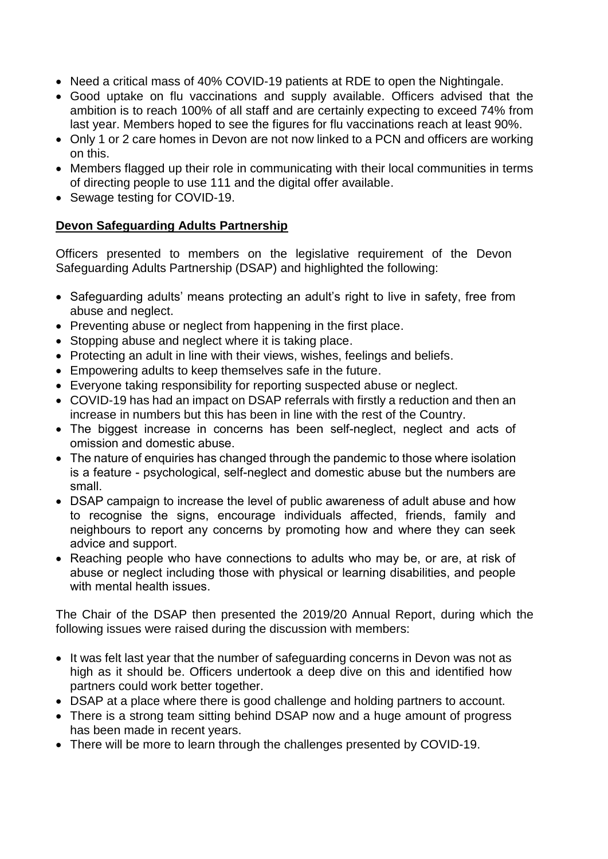- Need a critical mass of 40% COVID-19 patients at RDE to open the Nightingale.
- Good uptake on flu vaccinations and supply available. Officers advised that the ambition is to reach 100% of all staff and are certainly expecting to exceed 74% from last year. Members hoped to see the figures for flu vaccinations reach at least 90%.
- Only 1 or 2 care homes in Devon are not now linked to a PCN and officers are working on this.
- Members flagged up their role in communicating with their local communities in terms of directing people to use 111 and the digital offer available.
- Sewage testing for COVID-19.

# **Devon Safeguarding Adults Partnership**

Officers presented to members on the legislative requirement of the Devon Safeguarding Adults Partnership (DSAP) and highlighted the following:

- Safeguarding adults' means protecting an adult's right to live in safety, free from abuse and neglect.
- Preventing abuse or neglect from happening in the first place.
- Stopping abuse and neglect where it is taking place.
- Protecting an adult in line with their views, wishes, feelings and beliefs,
- Empowering adults to keep themselves safe in the future.
- Everyone taking responsibility for reporting suspected abuse or neglect.
- COVID-19 has had an impact on DSAP referrals with firstly a reduction and then an increase in numbers but this has been in line with the rest of the Country.
- The biggest increase in concerns has been self-neglect, neglect and acts of omission and domestic abuse.
- The nature of enquiries has changed through the pandemic to those where isolation is a feature - psychological, self-neglect and domestic abuse but the numbers are small.
- DSAP campaign to increase the level of public awareness of adult abuse and how to recognise the signs, encourage individuals affected, friends, family and neighbours to report any concerns by promoting how and where they can seek advice and support.
- Reaching people who have connections to adults who may be, or are, at risk of abuse or neglect including those with physical or learning disabilities, and people with mental health issues.

The Chair of the DSAP then presented the 2019/20 Annual Report, during which the following issues were raised during the discussion with members:

- It was felt last year that the number of safeguarding concerns in Devon was not as high as it should be. Officers undertook a deep dive on this and identified how partners could work better together.
- DSAP at a place where there is good challenge and holding partners to account.
- There is a strong team sitting behind DSAP now and a huge amount of progress has been made in recent years.
- There will be more to learn through the challenges presented by COVID-19.